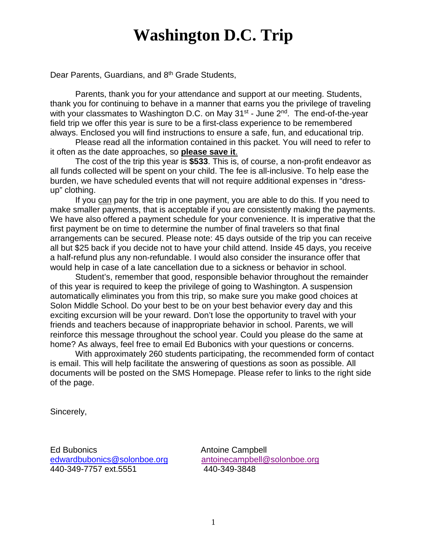# **Washington D.C. Trip**

Dear Parents, Guardians, and 8<sup>th</sup> Grade Students,

Parents, thank you for your attendance and support at our meeting. Students, thank you for continuing to behave in a manner that earns you the privilege of traveling with your classmates to Washington D.C. on May  $31^{st}$  - June  $2^{nd}$ . The end-of-the-year field trip we offer this year is sure to be a first-class experience to be remembered always. Enclosed you will find instructions to ensure a safe, fun, and educational trip.

Please read all the information contained in this packet. You will need to refer to it often as the date approaches, so **please save it**.

The cost of the trip this year is **\$533**. This is, of course, a non-profit endeavor as all funds collected will be spent on your child. The fee is all-inclusive. To help ease the burden, we have scheduled events that will not require additional expenses in "dressup" clothing.

If you can pay for the trip in one payment, you are able to do this. If you need to make smaller payments, that is acceptable if you are consistently making the payments. We have also offered a payment schedule for your convenience. It is imperative that the first payment be on time to determine the number of final travelers so that final arrangements can be secured. Please note: 45 days outside of the trip you can receive all but \$25 back if you decide not to have your child attend. Inside 45 days, you receive a half-refund plus any non-refundable. I would also consider the insurance offer that would help in case of a late cancellation due to a sickness or behavior in school.

Student's, remember that good, responsible behavior throughout the remainder of this year is required to keep the privilege of going to Washington. A suspension automatically eliminates you from this trip, so make sure you make good choices at Solon Middle School. Do your best to be on your best behavior every day and this exciting excursion will be your reward. Don't lose the opportunity to travel with your friends and teachers because of inappropriate behavior in school. Parents, we will reinforce this message throughout the school year. Could you please do the same at home? As always, feel free to email Ed Bubonics with your questions or concerns.

With approximately 260 students participating, the recommended form of contact is email. This will help facilitate the answering of questions as soon as possible. All documents will be posted on the SMS Homepage. Please refer to links to the right side of the page.

Sincerely,

Ed Bubonics **Antoine Campbell** 440-349-7757 ext.5551 440-349-3848

[edwardbubonics@solonboe.org](mailto:edwardbubonics@solonboe.org) [antoinecampbell@solonboe.org](mailto:antoinecampbell@solonboe.org?subject=DC%20Trip)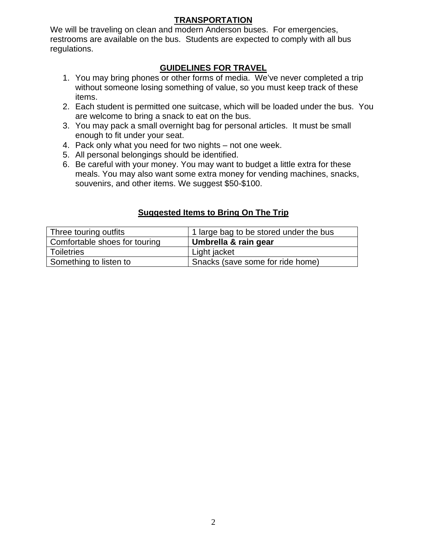## **TRANSPORTATION**

We will be traveling on clean and modern Anderson buses. For emergencies, restrooms are available on the bus. Students are expected to comply with all bus regulations.

## **GUIDELINES FOR TRAVEL**

- 1. You may bring phones or other forms of media. We've never completed a trip without someone losing something of value, so you must keep track of these items.
- 2. Each student is permitted one suitcase, which will be loaded under the bus. You are welcome to bring a snack to eat on the bus.
- 3. You may pack a small overnight bag for personal articles. It must be small enough to fit under your seat.
- 4. Pack only what you need for two nights not one week.
- 5. All personal belongings should be identified.
- 6. Be careful with your money. You may want to budget a little extra for these meals. You may also want some extra money for vending machines, snacks, souvenirs, and other items. We suggest \$50-\$100.

## **Suggested Items to Bring On The Trip**

| Three touring outfits         | 1 large bag to be stored under the bus |
|-------------------------------|----------------------------------------|
| Comfortable shoes for touring | Umbrella & rain gear                   |
| Toiletries                    | Light jacket                           |
| Something to listen to        | Snacks (save some for ride home)       |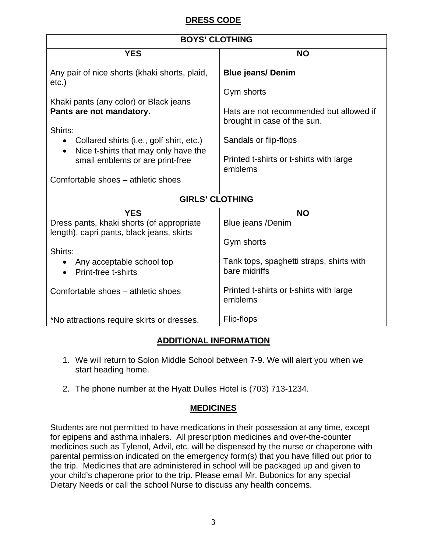## **DRESS CODE**

| <b>BOYS' CLOTHING</b>                                                                         |                                                                        |  |
|-----------------------------------------------------------------------------------------------|------------------------------------------------------------------------|--|
| <b>YES</b>                                                                                    | <b>NO</b>                                                              |  |
| Any pair of nice shorts (khaki shorts, plaid,<br>$etc.$ )                                     | <b>Blue jeans/ Denim</b>                                               |  |
| Khaki pants (any color) or Black jeans                                                        | Gym shorts                                                             |  |
| Pants are not mandatory.                                                                      | Hats are not recommended but allowed if<br>brought in case of the sun. |  |
| Shirts:                                                                                       |                                                                        |  |
| Collared shirts (i.e., golf shirt, etc.)<br>Nice t-shirts that may only have the<br>$\bullet$ | Sandals or flip-flops                                                  |  |
| small emblems or are print-free                                                               | Printed t-shirts or t-shirts with large<br>emblems                     |  |
| Comfortable shoes – athletic shoes                                                            |                                                                        |  |
| <b>GIRLS' CLOTHING</b>                                                                        |                                                                        |  |
| <b>YES</b>                                                                                    | <b>NO</b>                                                              |  |
| Dress pants, khaki shorts (of appropriate<br>length), capri pants, black jeans, skirts        | Blue jeans /Denim                                                      |  |
|                                                                                               | Gym shorts                                                             |  |
| Shirts:                                                                                       |                                                                        |  |
| Any acceptable school top<br>Print-free t-shirts                                              | Tank tops, spaghetti straps, shirts with<br>bare midriffs              |  |
| Comfortable shoes - athletic shoes                                                            | Printed t-shirts or t-shirts with large<br>emblems                     |  |
| *No attractions require skirts or dresses.                                                    | Flip-flops                                                             |  |

## **ADDITIONAL INFORMATION**

- 1. We will return to Solon Middle School between 7-9. We will alert you when we start heading home.
- 2. The phone number at the Hyatt Dulles Hotel is (703) 713-1234.

## **MEDICINES**

Students are not permitted to have medications in their possession at any time, except for epipens and asthma inhalers. All prescription medicines and over-the-counter medicines such as Tylenol, Advil, etc. will be dispensed by the nurse or chaperone with parental permission indicated on the emergency form(s) that you have filled out prior to the trip. Medicines that are administered in school will be packaged up and given to your child's chaperone prior to the trip. Please email Mr. Bubonics for any special Dietary Needs or call the school Nurse to discuss any health concerns.